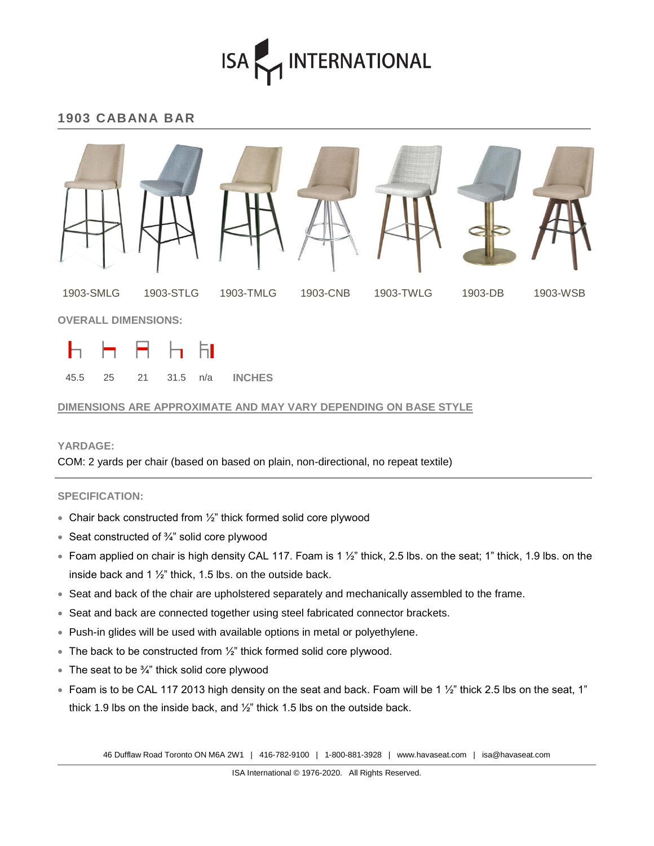## ISA MINTERNATIONAL

### **1903 CABANA BAR**



#### **DIMENSIONS ARE APPROXIMATE AND MAY VARY DEPENDING ON BASE STYLE**

#### **YARDAGE:**

COM: 2 yards per chair (based on based on plain, non-directional, no repeat textile)

#### **SPECIFICATION:**

- Chair back constructed from ½" thick formed solid core plywood
- Seat constructed of  $\frac{3}{4}$ " solid core plywood
- Foam applied on chair is high density CAL 117. Foam is 1  $\frac{1}{2}$ " thick, 2.5 lbs. on the seat; 1" thick, 1.9 lbs. on the inside back and 1  $\frac{1}{2}$ " thick, 1.5 lbs. on the outside back.
- Seat and back of the chair are upholstered separately and mechanically assembled to the frame.
- Seat and back are connected together using steel fabricated connector brackets.
- Push-in glides will be used with available options in metal or polyethylene.
- $\bullet$  The back to be constructed from  $\frac{1}{2}$ " thick formed solid core plywood.
- $\bullet$  The seat to be  $\frac{3}{4}$ " thick solid core plywood
- Foam is to be CAL 117 2013 high density on the seat and back. Foam will be 1  $\frac{1}{2}$ " thick 2.5 lbs on the seat, 1" thick 1.9 lbs on the inside back, and ½" thick 1.5 lbs on the outside back.